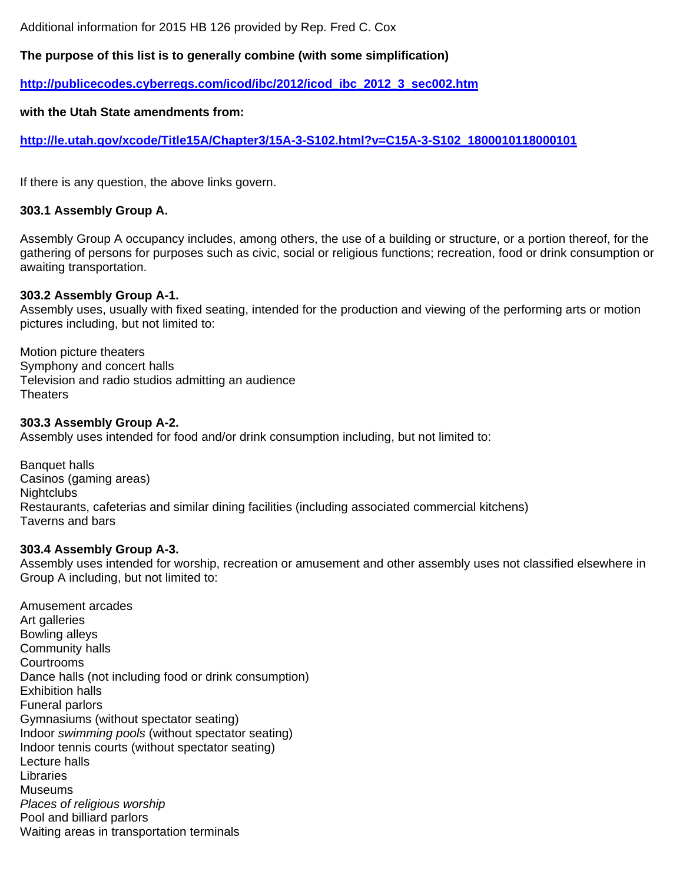Additional information for 2015 HB 126 provided by Rep. Fred C. Cox

## **The purpose of this list is to generally combine (with some simplification)**

**http://publicecodes.cyberregs.com/icod/ibc/2012/icod\_ibc\_2012\_3\_sec002.htm**

#### **with the Utah State amendments from:**

**http://le.utah.gov/xcode/Title15A/Chapter3/15A-3-S102.html?v=C15A-3-S102\_1800010118000101**

If there is any question, the above links govern.

#### **303.1 Assembly Group A.**

Assembly Group A occupancy includes, among others, the use of a building or structure, or a portion thereof, for the gathering of persons for purposes such as civic, social or religious functions; recreation, food or drink consumption or awaiting transportation.

#### **303.2 Assembly Group A-1.**

Assembly uses, usually with fixed seating, intended for the production and viewing of the performing arts or motion pictures including, but not limited to:

Motion picture theaters Symphony and concert halls Television and radio studios admitting an audience Theaters

#### **303.3 Assembly Group A-2.**

Assembly uses intended for food and/or drink consumption including, but not limited to:

Banquet halls Casinos (gaming areas) **Nightclubs** Restaurants, cafeterias and similar dining facilities (including associated commercial kitchens) Taverns and bars

#### **303.4 Assembly Group A-3.**

Assembly uses intended for worship, recreation or amusement and other assembly uses not classified elsewhere in Group A including, but not limited to:

Amusement arcades Art galleries Bowling alleys Community halls **Courtrooms** Dance halls (not including food or drink consumption) Exhibition halls Funeral parlors Gymnasiums (without spectator seating) Indoor *swimming pools* (without spectator seating) Indoor tennis courts (without spectator seating) Lecture halls Libraries Museums *Places of religious worship* Pool and billiard parlors Waiting areas in transportation terminals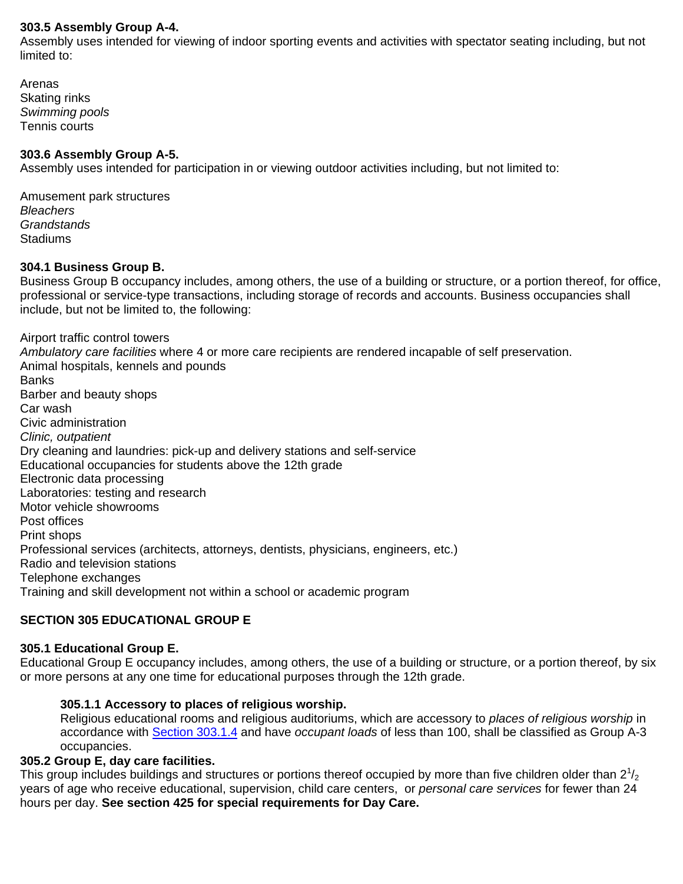## **303.5 Assembly Group A-4.**

Assembly uses intended for viewing of indoor sporting events and activities with spectator seating including, but not limited to:

Arenas Skating rinks *Swimming pools* Tennis courts

#### **303.6 Assembly Group A-5.**

Assembly uses intended for participation in or viewing outdoor activities including, but not limited to:

Amusement park structures *Bleachers Grandstands* **Stadiums** 

#### **304.1 Business Group B.**

Business Group B occupancy includes, among others, the use of a building or structure, or a portion thereof, for office, professional or service-type transactions, including storage of records and accounts. Business occupancies shall include, but not be limited to, the following:

Airport traffic control towers *Ambulatory care facilities* where 4 or more care recipients are rendered incapable of self preservation. Animal hospitals, kennels and pounds **Banks** Barber and beauty shops Car wash Civic administration *Clinic, outpatient* Dry cleaning and laundries: pick-up and delivery stations and self-service Educational occupancies for students above the 12th grade Electronic data processing Laboratories: testing and research Motor vehicle showrooms Post offices Print shops Professional services (architects, attorneys, dentists, physicians, engineers, etc.) Radio and television stations Telephone exchanges Training and skill development not within a school or academic program

# **SECTION 305 EDUCATIONAL GROUP E**

#### **305.1 Educational Group E.**

Educational Group E occupancy includes, among others, the use of a building or structure, or a portion thereof, by six or more persons at any one time for educational purposes through the 12th grade.

#### **305.1.1 Accessory to places of religious worship.**

Religious educational rooms and religious auditoriums, which are accessory to *places of religious worship* in accordance with Section 303.1.4 and have *occupant loads* of less than 100, shall be classified as Group A-3 occupancies.

#### **305.2 Group E, day care facilities.**

This group includes buildings and structures or portions thereof occupied by more than five children older than  $2^{1}/_{2}$ years of age who receive educational, supervision, child care centers, or *personal care services* for fewer than 24 hours per day. **See section 425 for special requirements for Day Care.**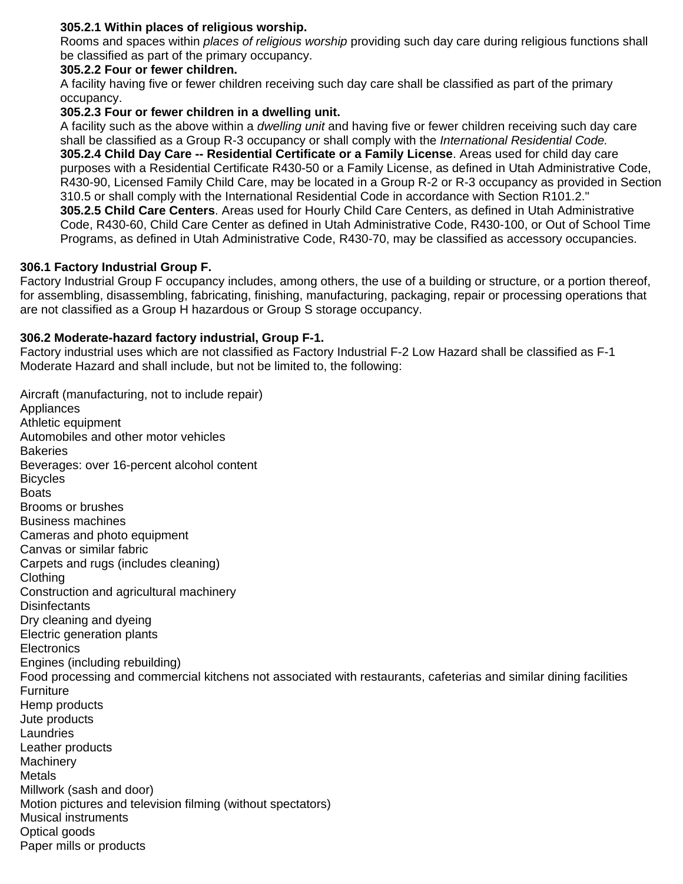# **305.2.1 Within places of religious worship.**

Rooms and spaces within *places of religious worship* providing such day care during religious functions shall be classified as part of the primary occupancy.

## **305.2.2 Four or fewer children.**

A facility having five or fewer children receiving such day care shall be classified as part of the primary occupancy.

#### **305.2.3 Four or fewer children in a dwelling unit.**

A facility such as the above within a *dwelling unit* and having five or fewer children receiving such day care shall be classified as a Group R-3 occupancy or shall comply with the *International Residential Code.* **305.2.4 Child Day Care -- Residential Certificate or a Family License**. Areas used for child day care purposes with a Residential Certificate R430-50 or a Family License, as defined in Utah Administrative Code, R430-90, Licensed Family Child Care, may be located in a Group R-2 or R-3 occupancy as provided in Section 310.5 or shall comply with the International Residential Code in accordance with Section R101.2." **305.2.5 Child Care Centers**. Areas used for Hourly Child Care Centers, as defined in Utah Administrative Code, R430-60, Child Care Center as defined in Utah Administrative Code, R430-100, or Out of School Time Programs, as defined in Utah Administrative Code, R430-70, may be classified as accessory occupancies.

#### **306.1 Factory Industrial Group F.**

Factory Industrial Group F occupancy includes, among others, the use of a building or structure, or a portion thereof, for assembling, disassembling, fabricating, finishing, manufacturing, packaging, repair or processing operations that are not classified as a Group H hazardous or Group S storage occupancy.

#### **306.2 Moderate-hazard factory industrial, Group F-1.**

Factory industrial uses which are not classified as Factory Industrial F-2 Low Hazard shall be classified as F-1 Moderate Hazard and shall include, but not be limited to, the following:

Aircraft (manufacturing, not to include repair) Appliances Athletic equipment Automobiles and other motor vehicles **Bakeries** Beverages: over 16-percent alcohol content **Bicycles Boats** Brooms or brushes Business machines Cameras and photo equipment Canvas or similar fabric Carpets and rugs (includes cleaning) Clothing Construction and agricultural machinery **Disinfectants** Dry cleaning and dyeing Electric generation plants **Electronics** Engines (including rebuilding) Food processing and commercial kitchens not associated with restaurants, cafeterias and similar dining facilities **Furniture** Hemp products Jute products **Laundries** Leather products **Machinery Metals** Millwork (sash and door) Motion pictures and television filming (without spectators) Musical instruments Optical goods Paper mills or products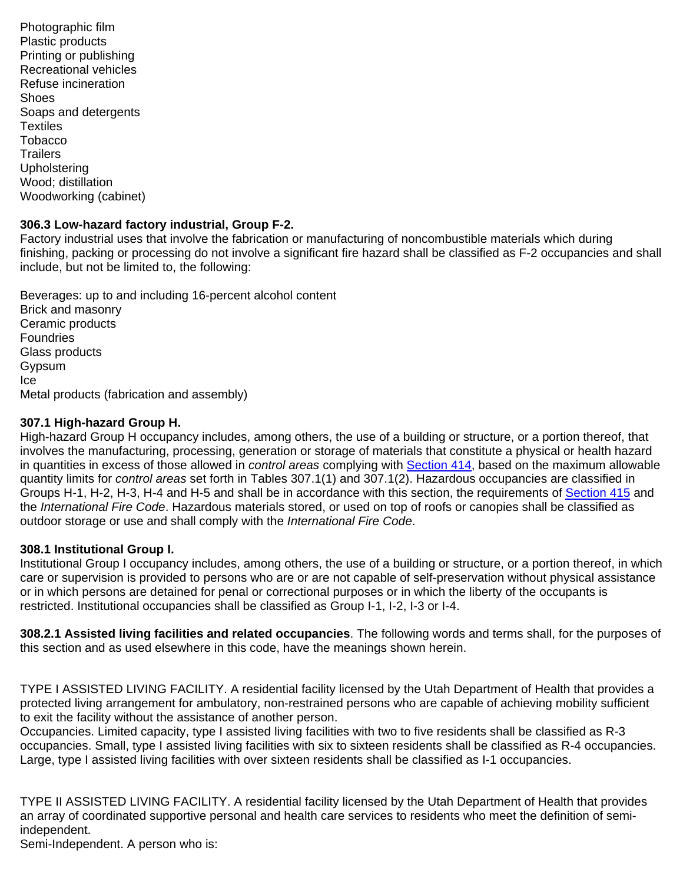Photographic film Plastic products Printing or publishing Recreational vehicles Refuse incineration **Shoes** Soaps and detergents **Textiles** Tobacco **Trailers Upholstering** Wood; distillation Woodworking (cabinet)

# **306.3 Low-hazard factory industrial, Group F-2.**

Factory industrial uses that involve the fabrication or manufacturing of noncombustible materials which during finishing, packing or processing do not involve a significant fire hazard shall be classified as F-2 occupancies and shall include, but not be limited to, the following:

Beverages: up to and including 16-percent alcohol content Brick and masonry Ceramic products Foundries Glass products Gypsum Ice Metal products (fabrication and assembly)

# **307.1 High-hazard Group H.**

High-hazard Group H occupancy includes, among others, the use of a building or structure, or a portion thereof, that involves the manufacturing, processing, generation or storage of materials that constitute a physical or health hazard in quantities in excess of those allowed in *control areas* complying with Section 414, based on the maximum allowable quantity limits for *control areas* set forth in Tables 307.1(1) and 307.1(2). Hazardous occupancies are classified in Groups H-1, H-2, H-3, H-4 and H-5 and shall be in accordance with this section, the requirements of Section 415 and the *International Fire Code*. Hazardous materials stored, or used on top of roofs or canopies shall be classified as outdoor storage or use and shall comply with the *International Fire Code*.

## **308.1 Institutional Group I.**

Institutional Group I occupancy includes, among others, the use of a building or structure, or a portion thereof, in which care or supervision is provided to persons who are or are not capable of self-preservation without physical assistance or in which persons are detained for penal or correctional purposes or in which the liberty of the occupants is restricted. Institutional occupancies shall be classified as Group I-1, I-2, I-3 or I-4.

**308.2.1 Assisted living facilities and related occupancies**. The following words and terms shall, for the purposes of this section and as used elsewhere in this code, have the meanings shown herein.

TYPE I ASSISTED LIVING FACILITY. A residential facility licensed by the Utah Department of Health that provides a protected living arrangement for ambulatory, non-restrained persons who are capable of achieving mobility sufficient to exit the facility without the assistance of another person.

Occupancies. Limited capacity, type I assisted living facilities with two to five residents shall be classified as R-3 occupancies. Small, type I assisted living facilities with six to sixteen residents shall be classified as R-4 occupancies. Large, type I assisted living facilities with over sixteen residents shall be classified as I-1 occupancies.

TYPE II ASSISTED LIVING FACILITY. A residential facility licensed by the Utah Department of Health that provides an array of coordinated supportive personal and health care services to residents who meet the definition of semiindependent.

Semi-Independent. A person who is: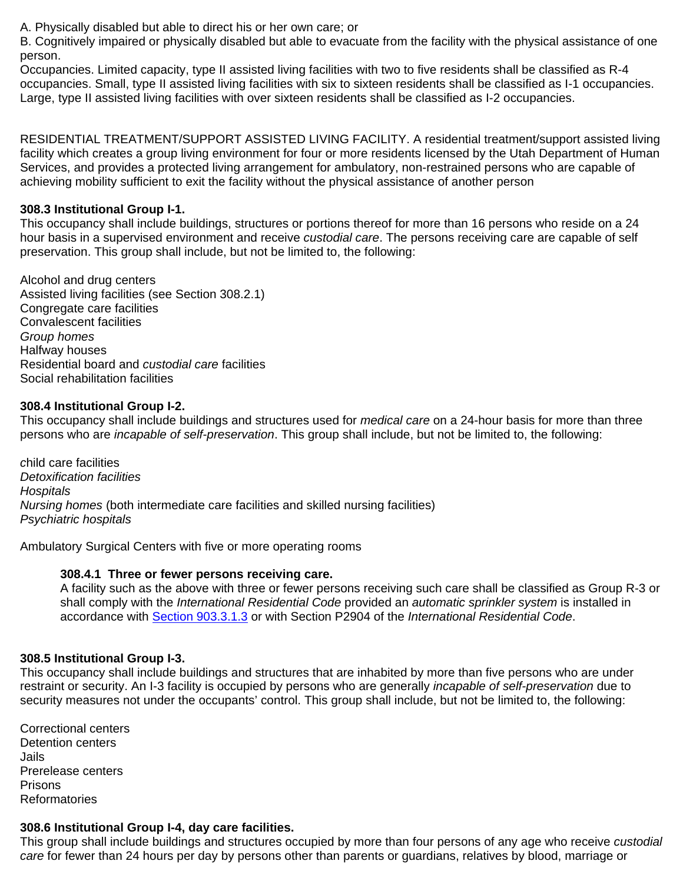A. Physically disabled but able to direct his or her own care; or

B. Cognitively impaired or physically disabled but able to evacuate from the facility with the physical assistance of one person.

Occupancies. Limited capacity, type II assisted living facilities with two to five residents shall be classified as R-4 occupancies. Small, type II assisted living facilities with six to sixteen residents shall be classified as I-1 occupancies. Large, type II assisted living facilities with over sixteen residents shall be classified as I-2 occupancies.

RESIDENTIAL TREATMENT/SUPPORT ASSISTED LIVING FACILITY. A residential treatment/support assisted living facility which creates a group living environment for four or more residents licensed by the Utah Department of Human Services, and provides a protected living arrangement for ambulatory, non-restrained persons who are capable of achieving mobility sufficient to exit the facility without the physical assistance of another person

# **308.3 Institutional Group I-1.**

This occupancy shall include buildings, structures or portions thereof for more than 16 persons who reside on a 24 hour basis in a supervised environment and receive *custodial care*. The persons receiving care are capable of self preservation. This group shall include, but not be limited to, the following:

Alcohol and drug centers Assisted living facilities (see Section 308.2.1) Congregate care facilities Convalescent facilities *Group homes*  Halfway houses Residential board and *custodial care* facilities Social rehabilitation facilities

## **308.4 Institutional Group I-2.**

This occupancy shall include buildings and structures used for *medical care* on a 24-hour basis for more than three persons who are *incapable of self-preservation*. This group shall include, but not be limited to, the following:

*c*hild care facilities *Detoxification facilities Hospitals Nursing homes* (both intermediate care facilities and skilled nursing facilities) *Psychiatric hospitals* 

Ambulatory Surgical Centers with five or more operating rooms

## **308.4.1 Three or fewer persons receiving care.**

A facility such as the above with three or fewer persons receiving such care shall be classified as Group R-3 or shall comply with the *International Residential Code* provided an *automatic sprinkler system* is installed in accordance with Section 903.3.1.3 or with Section P2904 of the *International Residential Code*.

## **308.5 Institutional Group I-3.**

This occupancy shall include buildings and structures that are inhabited by more than five persons who are under restraint or security. An I-3 facility is occupied by persons who are generally *incapable of self-preservation* due to security measures not under the occupants' control. This group shall include, but not be limited to, the following:

Correctional centers Detention centers Jails Prerelease centers Prisons Reformatories

## **308.6 Institutional Group I-4, day care facilities.**

This group shall include buildings and structures occupied by more than four persons of any age who receive *custodial care* for fewer than 24 hours per day by persons other than parents or guardians, relatives by blood, marriage or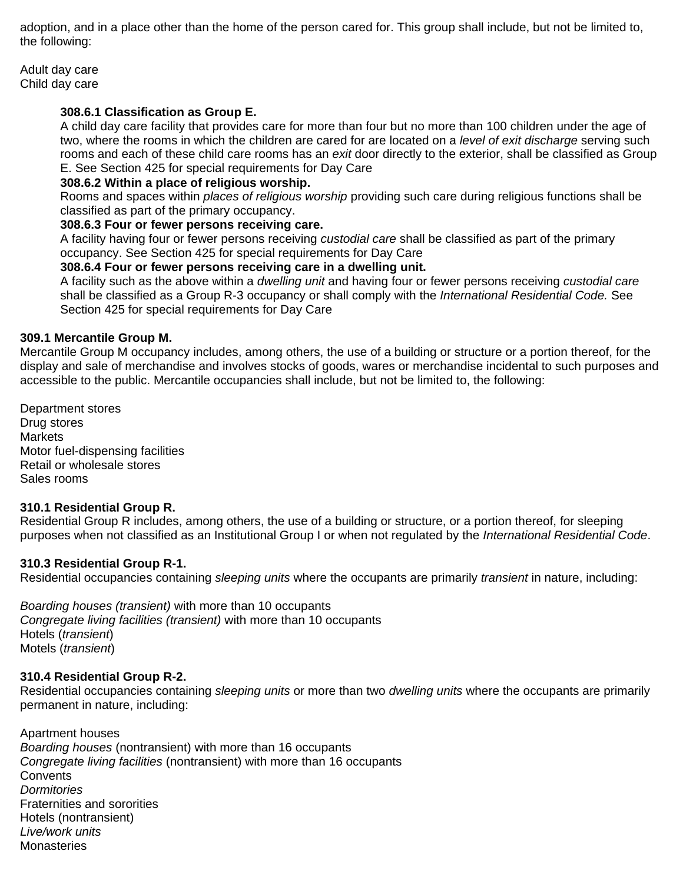adoption, and in a place other than the home of the person cared for. This group shall include, but not be limited to, the following:

Adult day care Child day care

# **308.6.1 Classification as Group E.**

A child day care facility that provides care for more than four but no more than 100 children under the age of two, where the rooms in which the children are cared for are located on a *level of exit discharge* serving such rooms and each of these child care rooms has an *exit* door directly to the exterior, shall be classified as Group E. See Section 425 for special requirements for Day Care

# **308.6.2 Within a place of religious worship.**

Rooms and spaces within *places of religious worship* providing such care during religious functions shall be classified as part of the primary occupancy.

## **308.6.3 Four or fewer persons receiving care.**

A facility having four or fewer persons receiving *custodial care* shall be classified as part of the primary occupancy. See Section 425 for special requirements for Day Care

## **308.6.4 Four or fewer persons receiving care in a dwelling unit.**

A facility such as the above within a *dwelling unit* and having four or fewer persons receiving *custodial care*  shall be classified as a Group R-3 occupancy or shall comply with the *International Residential Code.* See Section 425 for special requirements for Day Care

#### **309.1 Mercantile Group M.**

Mercantile Group M occupancy includes, among others, the use of a building or structure or a portion thereof, for the display and sale of merchandise and involves stocks of goods, wares or merchandise incidental to such purposes and accessible to the public. Mercantile occupancies shall include, but not be limited to, the following:

Department stores Drug stores **Markets** Motor fuel-dispensing facilities Retail or wholesale stores Sales rooms

## **310.1 Residential Group R.**

Residential Group R includes, among others, the use of a building or structure, or a portion thereof, for sleeping purposes when not classified as an Institutional Group I or when not regulated by the *International Residential Code*.

## **310.3 Residential Group R-1.**

Residential occupancies containing *sleeping units* where the occupants are primarily *transient* in nature, including:

*Boarding houses (transient)* with more than 10 occupants *Congregate living facilities (transient)* with more than 10 occupants Hotels (*transient*) Motels (*transient*)

## **310.4 Residential Group R-2.**

Residential occupancies containing *sleeping units* or more than two *dwelling units* where the occupants are primarily permanent in nature, including:

Apartment houses *Boarding houses* (nontransient) with more than 16 occupants *Congregate living facilities* (nontransient) with more than 16 occupants **Convents** *Dormitories*  Fraternities and sororities Hotels (nontransient) *Live/work units* **Monasteries**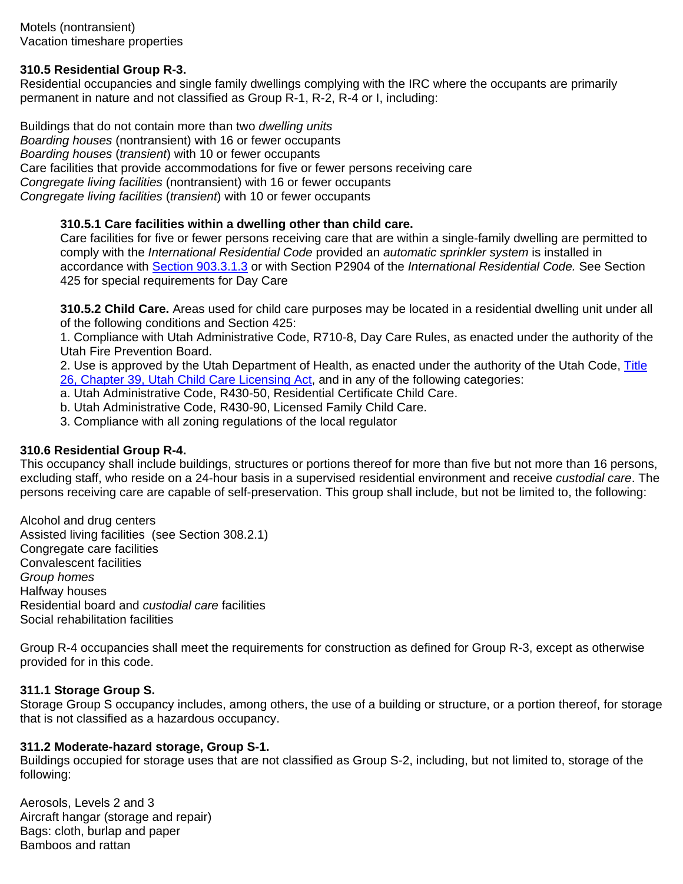# **310.5 Residential Group R-3.**

Residential occupancies and single family dwellings complying with the IRC where the occupants are primarily permanent in nature and not classified as Group R-1, R-2, R-4 or I, including:

Buildings that do not contain more than two *dwelling units Boarding houses* (nontransient) with 16 or fewer occupants *Boarding houses* (*transient*) with 10 or fewer occupants Care facilities that provide accommodations for five or fewer persons receiving care *Congregate living facilities* (nontransient) with 16 or fewer occupants *Congregate living facilities* (*transient*) with 10 or fewer occupants

# **310.5.1 Care facilities within a dwelling other than child care.**

Care facilities for five or fewer persons receiving care that are within a single-family dwelling are permitted to comply with the *International Residential Code* provided an *automatic sprinkler system* is installed in accordance with Section 903.3.1.3 or with Section P2904 of the *International Residential Code.* See Section 425 for special requirements for Day Care

**310.5.2 Child Care.** Areas used for child care purposes may be located in a residential dwelling unit under all of the following conditions and Section 425:

1. Compliance with Utah Administrative Code, R710-8, Day Care Rules, as enacted under the authority of the Utah Fire Prevention Board.

2. Use is approved by the Utah Department of Health, as enacted under the authority of the Utah Code, Title 26, Chapter 39, Utah Child Care Licensing Act, and in any of the following categories:

a. Utah Administrative Code, R430-50, Residential Certificate Child Care.

- b. Utah Administrative Code, R430-90, Licensed Family Child Care.
- 3. Compliance with all zoning regulations of the local regulator

## **310.6 Residential Group R-4.**

This occupancy shall include buildings, structures or portions thereof for more than five but not more than 16 persons, excluding staff, who reside on a 24-hour basis in a supervised residential environment and receive *custodial care*. The persons receiving care are capable of self-preservation. This group shall include, but not be limited to, the following:

Alcohol and drug centers Assisted living facilities (see Section 308.2.1) Congregate care facilities Convalescent facilities *Group homes* Halfway houses Residential board and *custodial care* facilities Social rehabilitation facilities

Group R-4 occupancies shall meet the requirements for construction as defined for Group R-3, except as otherwise provided for in this code.

## **311.1 Storage Group S.**

Storage Group S occupancy includes, among others, the use of a building or structure, or a portion thereof, for storage that is not classified as a hazardous occupancy.

## **311.2 Moderate-hazard storage, Group S-1.**

Buildings occupied for storage uses that are not classified as Group S-2, including, but not limited to, storage of the following:

Aerosols, Levels 2 and 3 Aircraft hangar (storage and repair) Bags: cloth, burlap and paper Bamboos and rattan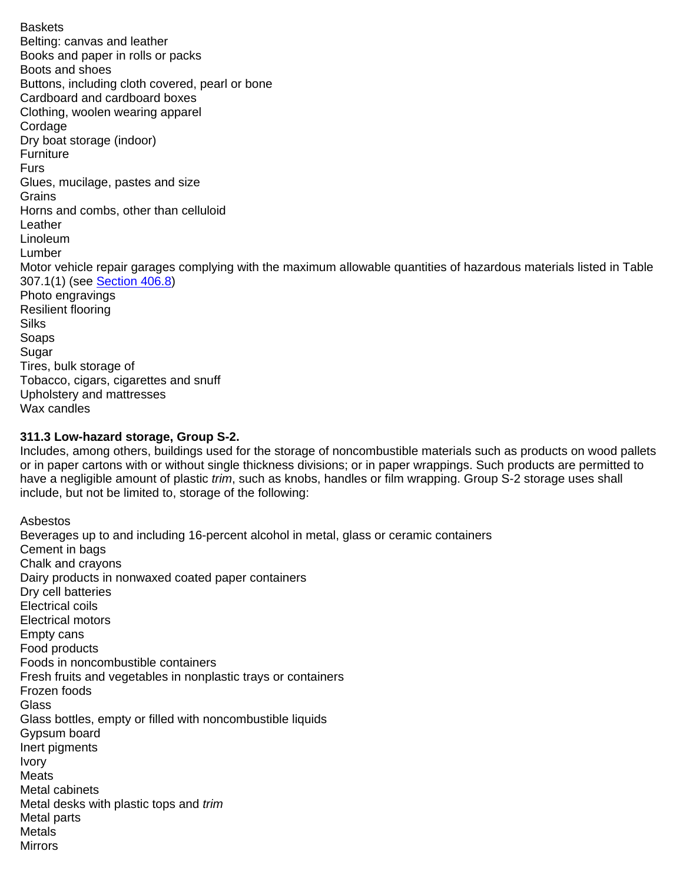Baskets Belting: canvas and leather Books and paper in rolls or packs Boots and shoes Buttons, including cloth covered, pearl or bone Cardboard and cardboard boxes Clothing, woolen wearing apparel Cordage Dry boat storage (indoor) **Furniture** Furs Glues, mucilage, pastes and size **Grains** Horns and combs, other than celluloid Leather Linoleum Lumber Motor vehicle repair garages complying with the maximum allowable quantities of hazardous materials listed in Table 307.1(1) (see Section 406.8) Photo engravings Resilient flooring Silks Soaps Sugar Tires, bulk storage of Tobacco, cigars, cigarettes and snuff Upholstery and mattresses Wax candles

#### **311.3 Low-hazard storage, Group S-2.**

Includes, among others, buildings used for the storage of noncombustible materials such as products on wood pallets or in paper cartons with or without single thickness divisions; or in paper wrappings. Such products are permitted to have a negligible amount of plastic *trim*, such as knobs, handles or film wrapping. Group S-2 storage uses shall include, but not be limited to, storage of the following:

Asbestos Beverages up to and including 16-percent alcohol in metal, glass or ceramic containers Cement in bags Chalk and crayons Dairy products in nonwaxed coated paper containers Dry cell batteries Electrical coils Electrical motors Empty cans Food products Foods in noncombustible containers Fresh fruits and vegetables in nonplastic trays or containers Frozen foods **Glass** Glass bottles, empty or filled with noncombustible liquids Gypsum board Inert pigments Ivory Meats Metal cabinets Metal desks with plastic tops and *trim*  Metal parts Metals Mirrors